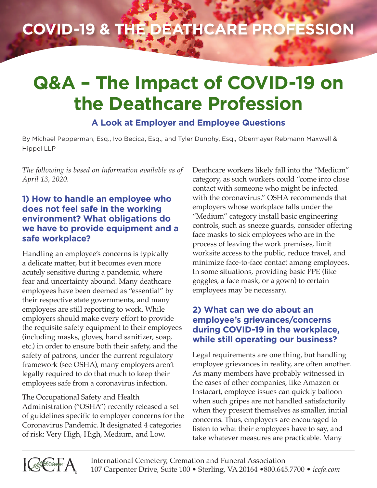## **COVID-19 & the Deathcare Profession**

# **Q&A – The Impact of COVID-19 on the Deathcare Profession**

### **A Look at Employer and Employee Questions**

By Michael Pepperman, Esq., Ivo Becica, Esq., and Tyler Dunphy, Esq., Obermayer Rebmann Maxwell & Hippel LLP

*The following is based on information available as of April 13, 2020.*

#### **1) How to handle an employee who does not feel safe in the working environment? What obligations do we have to provide equipment and a safe workplace?**

Handling an employee's concerns is typically a delicate matter, but it becomes even more acutely sensitive during a pandemic, where fear and uncertainty abound. Many deathcare employees have been deemed as "essential" by their respective state governments, and many employees are still reporting to work. While employers should make every effort to provide the requisite safety equipment to their employees (including masks, gloves, hand sanitizer, soap, etc.) in order to ensure both their safety, and the safety of patrons, under the current regulatory framework (see OSHA), many employers aren't legally required to do that much to keep their employees safe from a coronavirus infection.

The Occupational Safety and Health Administration ("OSHA") recently released a set of guidelines specific to employer concerns for the Coronavirus Pandemic. It designated 4 categories of risk: Very High, High, Medium, and Low.

Deathcare workers likely fall into the "Medium" category, as such workers could "come into close contact with someone who might be infected with the coronavirus." OSHA recommends that employers whose workplace falls under the "Medium" category install basic engineering controls, such as sneeze guards, consider offering face masks to sick employees who are in the process of leaving the work premises, limit worksite access to the public, reduce travel, and minimize face-to-face contact among employees. In some situations, providing basic PPE (like goggles, a face mask, or a gown) to certain employees may be necessary.

#### **2) What can we do about an employee's grievances/concerns during COVID-19 in the workplace, while still operating our business?**

Legal requirements are one thing, but handling employee grievances in reality, are often another. As many members have probably witnessed in the cases of other companies, like Amazon or Instacart, employee issues can quickly balloon when such gripes are not handled satisfactorily when they present themselves as smaller, initial concerns. Thus, employers are encouraged to listen to what their employees have to say, and take whatever measures are practicable. Many

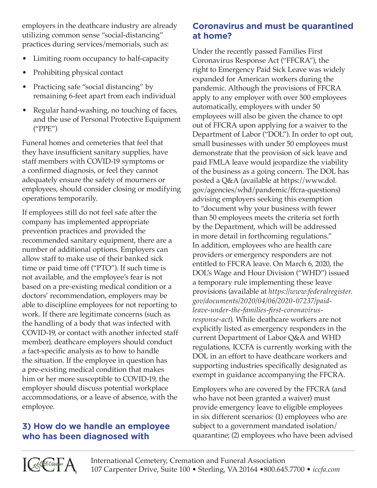employers in the deathcare industry are already utilizing common sense "social-distancing" practices during services/memorials, such as:

- Limiting room occupancy to half-capacity
- Prohibiting physical contact
- Practicing safe "social distancing" by remaining 6-feet apart from each individual
- Regular hand-washing, no touching of faces, and the use of Personal Protective Equipment ("PPE")

Funeral homes and cemeteries that feel that they have insufficient sanitary supplies, have staff members with COVID-19 symptoms or a confirmed diagnosis, or feel they cannot adequately ensure the safety of mourners or employees, should consider closing or modifying operations temporarily.

If employees still do not feel safe after the company has implemented appropriate prevention practices and provided the recommended sanitary equipment, there are a number of additional options. Employers can allow staff to make use of their banked sick time or paid time off ("PTO"). If such time is not available, and the employee's fear is not based on a pre-existing medical condition or a doctors' recommendation, employers may be able to discipline employees for not reporting to work. If there are legitimate concerns (such as the handling of a body that was infected with COVID-19, or contact with another infected staff member), deathcare employers should conduct a fact-specific analysis as to how to handle the situation. If the employee in question has a pre-existing medical condition that makes him or her more susceptible to COVID-19, the employer should discuss potential workplace accommodations, or a leave of absence, with the employee.

## **3) How do we handle an employee who has been diagnosed with**

### **Coronavirus and must be quarantined at home?**

Under the recently passed Families First Coronavirus Response Act ("FFCRA"), the right to Emergency Paid Sick Leave was widely expanded for American workers during the pandemic. Although the provisions of FFCRA apply to any employer with over 500 employees automatically, employers with under 50 employees will also be given the chance to opt out of FFCRA upon applying for a waiver to the Department of Labor ("DOL"). In order to opt out, small businesses with under 50 employees must demonstrate that the provision of sick leave and paid FMLA leave would jeopardize the viability of the business as a going concern. The DOL has posted a Q&A (available at https://www.dol. gov/agencies/whd/pandemic/ffcra-questions) advising employers seeking this exemption to "document why your business with fewer than 50 employees meets the criteria set forth by the Department, which will be addressed in more detail in forthcoming regulations." In addition, employees who are health care providers or emergency responders are not entitled to FFCRA leave. On March 6, 2020, the DOL's Wage and Hour Division ("WHD") issued a temporary rule implementing these leave provisions (available at *https://www.federalregister. gov/documents/2020/04/06/2020-07237/paidleave-under-the-families-first-coronavirusresponse-act*). While deathcare workers are not explicitly listed as emergency responders in the current Department of Labor Q&A and WHD regulations, ICCFA is currently working with the DOL in an effort to have deathcare workers and supporting industries specifically designated as exempt in guidance accompanying the FFCRA.

Employers who are covered by the FFCRA (and who have not been granted a waiver) must provide emergency leave to eligible employees in six different scenarios: (1) employees who are subject to a government mandated isolation/ quarantine; (2) employees who have been advised

**ICEFA**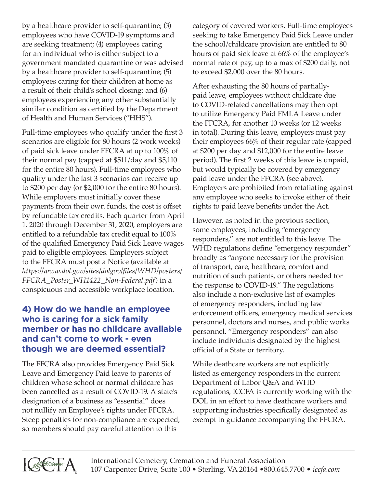by a healthcare provider to self-quarantine; (3) employees who have COVID-19 symptoms and are seeking treatment; (4) employees caring for an individual who is either subject to a government mandated quarantine or was advised by a healthcare provider to self-quarantine; (5) employees caring for their children at home as a result of their child's school closing; and (6) employees experiencing any other substantially similar condition as certified by the Department of Health and Human Services ("HHS").

Full-time employees who qualify under the first 3 scenarios are eligible for 80 hours (2 work weeks) of paid sick leave under FFCRA at up to 100% of their normal pay (capped at \$511/day and \$5,110 for the entire 80 hours). Full-time employees who qualify under the last 3 scenarios can receive up to \$200 per day (or \$2,000 for the entire 80 hours). While employers must initially cover these payments from their own funds, the cost is offset by refundable tax credits. Each quarter from April 1, 2020 through December 31, 2020, employers are entitled to a refundable tax credit equal to 100% of the qualified Emergency Paid Sick Leave wages paid to eligible employees. Employers subject to the FFCRA must post a Notice (available at *https://www.dol.gov/sites/dolgov/files/WHD/posters/ FFCRA\_Poster\_WH1422\_Non-Federal.pdf*) in a conspicuous and accessible workplace location.

#### **4) How do we handle an employee who is caring for a sick family member or has no childcare available and can't come to work - even though we are deemed essential?**

The FFCRA also provides Emergency Paid Sick Leave and Emergency Paid leave to parents of children whose school or normal childcare has been cancelled as a result of COVID-19. A state's designation of a business as "essential" does not nullify an Employee's rights under FFCRA. Steep penalties for non-compliance are expected, so members should pay careful attention to this

category of covered workers. Full-time employees seeking to take Emergency Paid Sick Leave under the school/childcare provision are entitled to 80 hours of paid sick leave at 66% of the employee's normal rate of pay, up to a max of \$200 daily, not to exceed \$2,000 over the 80 hours.

After exhausting the 80 hours of partiallypaid leave, employees without childcare due to COVID-related cancellations may then opt to utilize Emergency Paid FMLA Leave under the FFCRA, for another 10 weeks (or 12 weeks in total). During this leave, employers must pay their employees 66% of their regular rate (capped at \$200 per day and \$12,000 for the entire leave period). The first 2 weeks of this leave is unpaid, but would typically be covered by emergency paid leave under the FFCRA (see above). Employers are prohibited from retaliating against any employee who seeks to invoke either of their rights to paid leave benefits under the Act.

However, as noted in the previous section, some employees, including "emergency responders," are not entitled to this leave. The WHD regulations define "emergency responder" broadly as "anyone necessary for the provision of transport, care, healthcare, comfort and nutrition of such patients, or others needed for the response to COVID-19." The regulations also include a non-exclusive list of examples of emergency responders, including law enforcement officers, emergency medical services personnel, doctors and nurses, and public works personnel. "Emergency responders" can also include individuals designated by the highest official of a State or territory.

While deathcare workers are not explicitly listed as emergency responders in the current Department of Labor Q&A and WHD regulations, ICCFA is currently working with the DOL in an effort to have deathcare workers and supporting industries specifically designated as exempt in guidance accompanying the FFCRA.